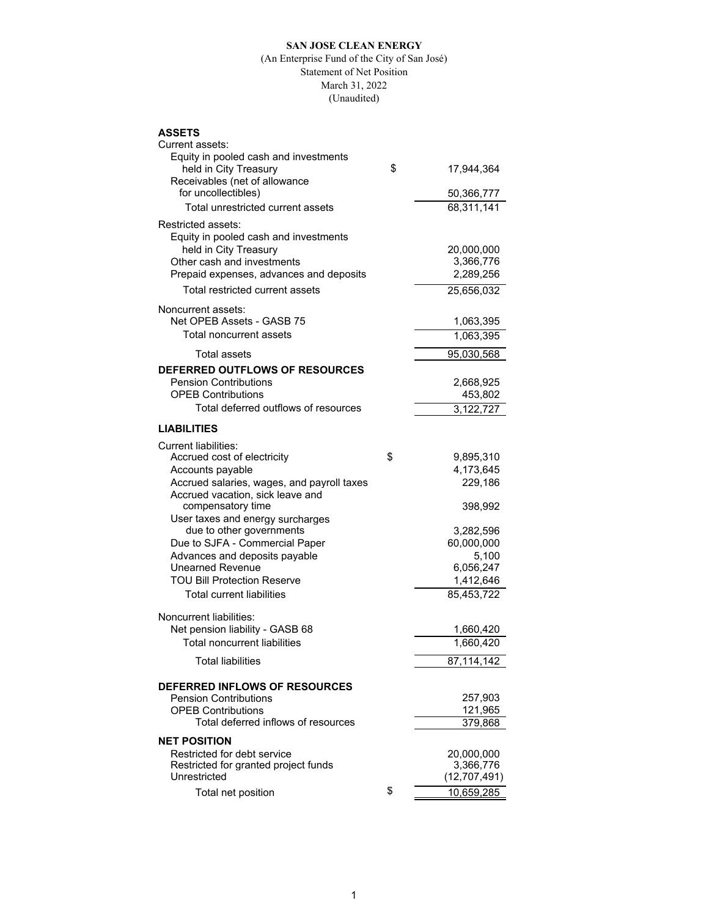## **SAN JOSE CLEAN ENERGY**

## (An Enterprise Fund of the City of San José) Statement of Net Position March 31, 2022 (Unaudited)

## **ASSETS**

| Current assets:<br>Equity in pooled cash and investments         |                      |
|------------------------------------------------------------------|----------------------|
| held in City Treasury                                            | \$<br>17,944,364     |
| Receivables (net of allowance<br>for uncollectibles)             | 50,366,777           |
| Total unrestricted current assets                                | 68,311,141           |
| Restricted assets:<br>Equity in pooled cash and investments      |                      |
| held in City Treasury                                            | 20,000,000           |
| Other cash and investments                                       | 3,366,776            |
| Prepaid expenses, advances and deposits                          | 2,289,256            |
| Total restricted current assets                                  | 25,656,032           |
| Noncurrent assets:<br>Net OPEB Assets - GASB 75                  | 1,063,395            |
| Total noncurrent assets                                          | 1,063,395            |
| Total assets                                                     | 95,030,568           |
| DEFERRED OUTFLOWS OF RESOURCES                                   |                      |
| <b>Pension Contributions</b>                                     | 2,668,925            |
| <b>OPFB Contributions</b>                                        | 453,802              |
| Total deferred outflows of resources                             | 3,122,727            |
| <b>LIABILITIES</b>                                               |                      |
| <b>Current liabilities:</b>                                      |                      |
| Accrued cost of electricity                                      | \$<br>9,895,310      |
| Accounts payable<br>Accrued salaries, wages, and payroll taxes   | 4,173,645<br>229,186 |
| Accrued vacation, sick leave and<br>compensatory time            | 398,992              |
| User taxes and energy surcharges                                 |                      |
| due to other governments                                         | 3,282,596            |
| Due to SJFA - Commercial Paper                                   | 60,000,000           |
| Advances and deposits payable<br>Unearned Revenue                | 5,100<br>6,056,247   |
| <b>TOU Bill Protection Reserve</b>                               | 1,412,646            |
| <b>Total current liabilities</b>                                 | 85,453,722           |
|                                                                  |                      |
| Noncurrent liabilities:<br>Net pension liability - GASB 68       | 1,660,420            |
| <b>Total noncurrent liabilities</b>                              | 1,660,420            |
| Total liabilities                                                | 87,114,142           |
|                                                                  |                      |
| DEFERRED INFLOWS OF RESOURCES                                    |                      |
| <b>Pension Contributions</b>                                     | 257,903              |
| <b>OPEB Contributions</b><br>Total deferred inflows of resources | 121,965<br>379,868   |
|                                                                  |                      |
| <b>NET POSITION</b><br>Restricted for debt service               | 20,000,000           |
| Restricted for granted project funds                             | 3,366,776            |
| Unrestricted                                                     | (12, 707, 491)       |
| Total net position                                               | \$<br>10,659,285     |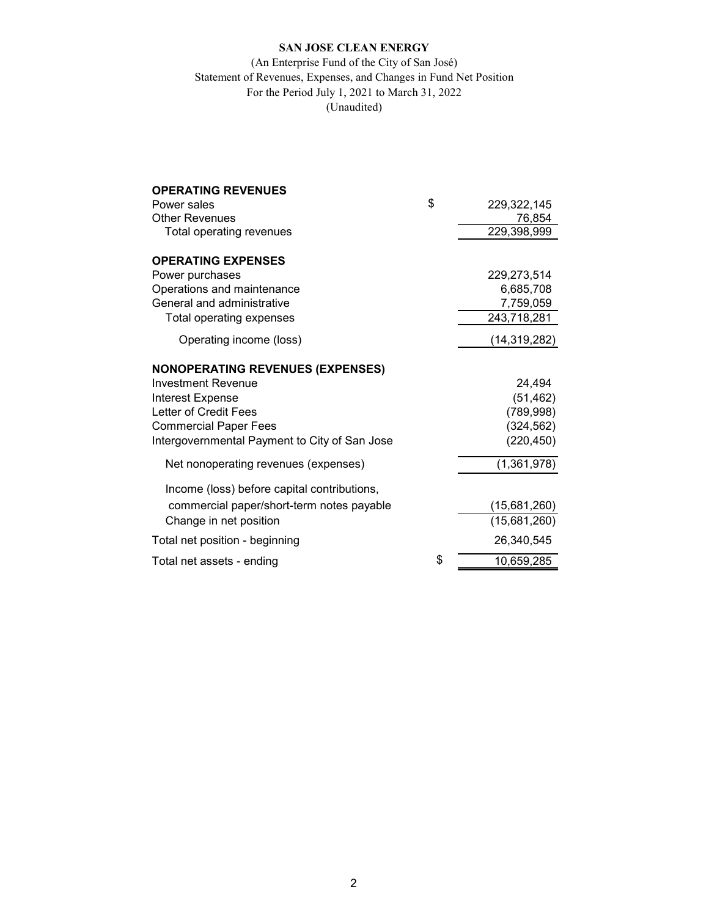# **SAN JOSE CLEAN ENERGY**

## (An Enterprise Fund of the City of San José) Statement of Revenues, Expenses, and Changes in Fund Net Position For the Period July 1, 2021 to March 31, 2022 (Unaudited)

| <b>OPERATING REVENUES</b>                     |                   |
|-----------------------------------------------|-------------------|
| Power sales                                   | \$<br>229,322,145 |
| <b>Other Revenues</b>                         | 76,854            |
| Total operating revenues                      | 229,398,999       |
| <b>OPERATING EXPENSES</b>                     |                   |
| Power purchases                               | 229,273,514       |
| Operations and maintenance                    | 6,685,708         |
| General and administrative                    | 7,759,059         |
| Total operating expenses                      | 243,718,281       |
| Operating income (loss)                       | (14, 319, 282)    |
| <b>NONOPERATING REVENUES (EXPENSES)</b>       |                   |
| <b>Investment Revenue</b>                     | 24,494            |
| <b>Interest Expense</b>                       | (51, 462)         |
| Letter of Credit Fees                         | (789, 998)        |
| <b>Commercial Paper Fees</b>                  | (324, 562)        |
| Intergovernmental Payment to City of San Jose | (220, 450)        |
| Net nonoperating revenues (expenses)          | (1,361,978)       |
| Income (loss) before capital contributions,   |                   |
| commercial paper/short-term notes payable     | (15,681,260)      |
| Change in net position                        | (15,681,260)      |
| Total net position - beginning                | 26,340,545        |
| Total net assets - ending                     | \$<br>10,659,285  |
|                                               |                   |